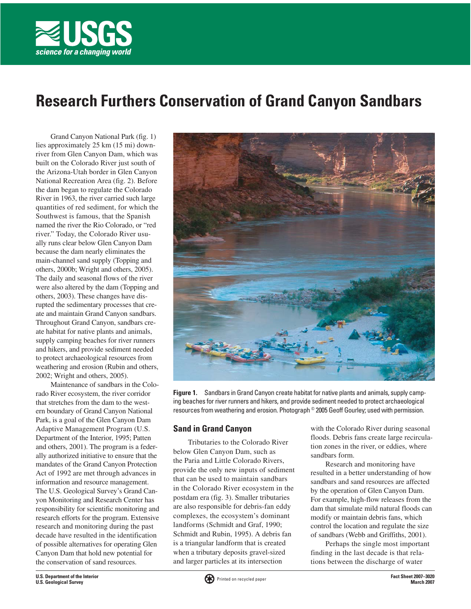

# **Research Furthers Conservation of Grand Canyon Sandbars**

Grand Canyon National Park (fig. 1) lies approximately 25 km (15 mi) downriver from Glen Canyon Dam, which was built on the Colorado River just south of the Arizona-Utah border in Glen Canyon National Recreation Area (fig. 2). Before the dam began to regulate the Colorado River in 1963, the river carried such large quantities of red sediment, for which the Southwest is famous, that the Spanish named the river the Rio Colorado, or "red river." Today, the Colorado River usually runs clear below Glen Canyon Dam because the dam nearly eliminates the main-channel sand supply (Topping and others, 2000b; Wright and others, 2005). The daily and seasonal flows of the river were also altered by the dam (Topping and others, 2003). These changes have disrupted the sedimentary processes that create and maintain Grand Canyon sandbars. Throughout Grand Canyon, sandbars create habitat for native plants and animals, supply camping beaches for river runners and hikers, and provide sediment needed to protect archaeological resources from weathering and erosion (Rubin and others, 2002; Wright and others, 2005).

Maintenance of sandbars in the Colorado River ecosystem, the river corridor that stretches from the dam to the western boundary of Grand Canyon National Park, is a goal of the Glen Canyon Dam Adaptive Management Program (U.S. Department of the Interior, 1995; Patten and others, 2001). The program is a federally authorized initiative to ensure that the mandates of the Grand Canyon Protection Act of 1992 are met through advances in information and resource management. The U.S. Geological Survey's Grand Canyon Monitoring and Research Center has responsibility for scientific monitoring and research efforts for the program. Extensive research and monitoring during the past decade have resulted in the identification of possible alternatives for operating Glen Canyon Dam that hold new potential for the conservation of sand resources.



**Figure 1.** Sandbars in Grand Canyon create habitat for native plants and animals, supply camping beaches for river runners and hikers, and provide sediment needed to protect archaeological resources from weathering and erosion. Photograph © 2005 Geoff Gourley; used with permission.

# **Sand in Grand Canyon**

Tributaries to the Colorado River below Glen Canyon Dam, such as the Paria and Little Colorado Rivers, provide the only new inputs of sediment that can be used to maintain sandbars in the Colorado River ecosystem in the postdam era (fig. 3). Smaller tributaries are also responsible for debris-fan eddy complexes, the ecosystem's dominant landforms (Schmidt and Graf, 1990; Schmidt and Rubin, 1995). A debris fan is a triangular landform that is created when a tributary deposits gravel-sized and larger particles at its intersection

with the Colorado River during seasonal floods. Debris fans create large recirculation zones in the river, or eddies, where sandbars form.

Research and monitoring have resulted in a better understanding of how sandbars and sand resources are affected by the operation of Glen Canyon Dam. For example, high-flow releases from the dam that simulate mild natural floods can modify or maintain debris fans, which control the location and regulate the size of sandbars (Webb and Griffiths, 2001).

Perhaps the single most important finding in the last decade is that relations between the discharge of water

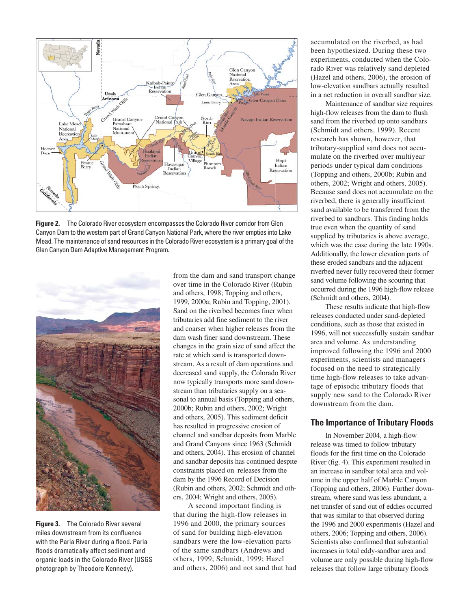

**Figure 2.** The Colorado River ecosystem encompasses the Colorado River corridor from Glen Canyon Dam to the western part of Grand Canyon National Park, where the river empties into Lake Mead. The maintenance of sand resources in the Colorado River ecosystem is a primary goal of the Glen Canyon Dam Adaptive Management Program.



**Figure 3.** The Colorado River several miles downstream from its confluence with the Paria River during a flood. Paria floods dramatically affect sediment and organic loads in the Colorado River (USGS photograph by Theodore Kennedy).

from the dam and sand transport change over time in the Colorado River (Rubin and others, 1998; Topping and others, 1999, 2000a; Rubin and Topping, 2001). Sand on the riverbed becomes finer when tributaries add fine sediment to the river and coarser when higher releases from the dam wash finer sand downstream. These changes in the grain size of sand affect the rate at which sand is transported downstream. As a result of dam operations and decreased sand supply, the Colorado River now typically transports more sand downstream than tributaries supply on a seasonal to annual basis (Topping and others, 2000b; Rubin and others, 2002; Wright and others, 2005). This sediment deficit has resulted in progressive erosion of channel and sandbar deposits from Marble and Grand Canyons since 1963 (Schmidt and others, 2004). This erosion of channel and sandbar deposits has continued despite constraints placed on releases from the dam by the 1996 Record of Decision (Rubin and others, 2002; Schmidt and others, 2004; Wright and others, 2005).

A second important finding is that during the high-flow releases in 1996 and 2000, the primary sources of sand for building high-elevation sandbars were the low-elevation parts of the same sandbars (Andrews and others, 1999; Schmidt, 1999; Hazel and others, 2006) and not sand that had accumulated on the riverbed, as had been hypothesized. During these two experiments, conducted when the Colorado River was relatively sand depleted (Hazel and others, 2006), the erosion of low-elevation sandbars actually resulted in a net reduction in overall sandbar size.

Maintenance of sandbar size requires high-flow releases from the dam to flush sand from the riverbed up onto sandbars (Schmidt and others, 1999). Recent research has shown, however, that tributary-supplied sand does not accumulate on the riverbed over multiyear periods under typical dam conditions (Topping and others, 2000b; Rubin and others, 2002; Wright and others, 2005). Because sand does not accumulate on the riverbed, there is generally insufficient sand available to be transferred from the riverbed to sandbars. This finding holds true even when the quantity of sand supplied by tributaries is above average, which was the case during the late 1990s. Additionally, the lower elevation parts of these eroded sandbars and the adjacent riverbed never fully recovered their former sand volume following the scouring that occurred during the 1996 high-flow release (Schmidt and others, 2004).

These results indicate that high-flow releases conducted under sand-depleted conditions, such as those that existed in 1996, will not successfully sustain sandbar area and volume. As understanding improved following the 1996 and 2000 experiments, scientists and managers focused on the need to strategically time high-flow releases to take advantage of episodic tributary floods that supply new sand to the Colorado River downstream from the dam.

# **The Importance of Tributary Floods**

In November 2004, a high-flow release was timed to follow tributary floods for the first time on the Colorado River (fig. 4). This experiment resulted in an increase in sandbar total area and volume in the upper half of Marble Canyon (Topping and others, 2006). Further downstream, where sand was less abundant, a net transfer of sand out of eddies occurred that was similar to that observed during the 1996 and 2000 experiments (Hazel and others, 2006; Topping and others, 2006). Scientists also confirmed that substantial increases in total eddy-sandbar area and volume are only possible during high-flow releases that follow large tributary floods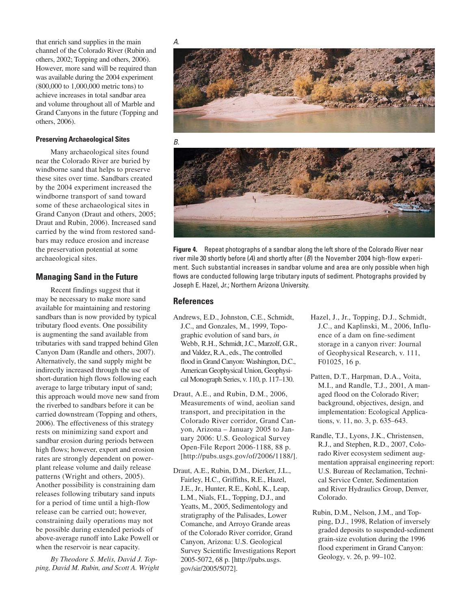that enrich sand supplies in the main channel of the Colorado River (Rubin and others, 2002; Topping and others, 2006). However, more sand will be required than was available during the 2004 experiment (800,000 to 1,000,000 metric tons) to achieve increases in total sandbar area and volume throughout all of Marble and Grand Canyons in the future (Topping and others, 2006).

#### **Preserving Archaeological Sites**

Many archaeological sites found near the Colorado River are buried by windborne sand that helps to preserve these sites over time. Sandbars created by the 2004 experiment increased the windborne transport of sand toward some of these archaeological sites in Grand Canyon (Draut and others, 2005; Draut and Rubin, 2006). Increased sand carried by the wind from restored sandbars may reduce erosion and increase the preservation potential at some archaeological sites.

## **Managing Sand in the Future**

Recent findings suggest that it may be necessary to make more sand available for maintaining and restoring sandbars than is now provided by typical tributary flood events. One possibility is augmenting the sand available from tributaries with sand trapped behind Glen Canyon Dam (Randle and others, 2007). Alternatively, the sand supply might be indirectly increased through the use of short-duration high flows following each average to large tributary input of sand; this approach would move new sand from the riverbed to sandbars before it can be carried downstream (Topping and others, 2006). The effectiveness of this strategy rests on minimizing sand export and sandbar erosion during periods between high flows; however, export and erosion rates are strongly dependent on powerplant release volume and daily release patterns (Wright and others, 2005). Another possibility is constraining dam releases following tributary sand inputs for a period of time until a high-flow release can be carried out; however, constraining daily operations may not be possible during extended periods of above-average runoff into Lake Powell or when the reservoir is near capacity.

*By Theodore S. Melis, David J. Topping, David M. Rubin, and Scott A. Wright* *A*.



*B*.



**Figure 4.** Repeat photographs of a sandbar along the left shore of the Colorado River near river mile 30 shortly before (*A*) and shortly after (*B*) the November 2004 high-flow experiment. Such substantial increases in sandbar volume and area are only possible when high flows are conducted following large tributary inputs of sediment. Photographs provided by Joseph E. Hazel, Jr.; Northern Arizona University.

## **References**

- Andrews, E.D., Johnston, C.E., Schmidt, J.C., and Gonzales, M., 1999, Topographic evolution of sand bars, *in* Webb, R.H., Schmidt, J.C., Marzolf, G.R., and Valdez, R.A., eds., The controlled flood in Grand Canyon: Washington, D.C., American Geophysical Union, Geophysical Monograph Series, v. 110, p. 117–130.
- Draut, A.E., and Rubin, D.M., 2006, Measurements of wind, aeolian sand transport, and precipitation in the Colorado River corridor, Grand Canyon, Arizona – January 2005 to January 2006: U.S. Geological Survey Open-File Report 2006-1188, 88 p. [\[http://pubs.usgs.gov/of/2006/1188/\].](http://pubs.usgs.gov/of/2006/1188)
- Draut, A.E., Rubin, D.M., Dierker, J.L., Fairley, H.C., Griffiths, R.E., Hazel, J.E., Jr., Hunter, R.E., Kohl, K., Leap, L.M., Nials, F.L., Topping, D.J., and Yeatts, M., 2005, Sedimentology and stratigraphy of the Palisades, Lower Comanche, and Arroyo Grande areas of the Colorado River corridor, Grand Canyon, Arizona: U.S. Geological Survey Scientific Investigations Report 2005-5072, 68 p. [\[http://pubs.usgs.](http://pubs.usgs.gov/sir/2005/5072) [gov/sir/2005/5072\].](http://pubs.usgs.gov/sir/2005/5072)
- Hazel, J., Jr., Topping, D.J., Schmidt, J.C., and Kaplinski, M., 2006, Influence of a dam on fine-sediment storage in a canyon river: Journal of Geophysical Research, v. 111, F01025, 16 p.
- Patten, D.T., Harpman, D.A., Voita, M.I., and Randle, T.J., 2001, A managed flood on the Colorado River; background, objectives, design, and implementation: Ecological Applications, v. 11, no. 3, p. 635–643.
- Randle, T.J., Lyons, J.K., Christensen, R.J., and Stephen, R.D., 2007, Colorado River ecosystem sediment augmentation appraisal engineering report: U.S. Bureau of Reclamation, Technical Service Center, Sedimentation and River Hydraulics Group, Denver, Colorado.
- Rubin, D.M., Nelson, J.M., and Topping, D.J., 1998, Relation of inversely graded deposits to suspended-sediment grain-size evolution during the 1996 flood experiment in Grand Canyon: Geology, v. 26, p. 99–102.